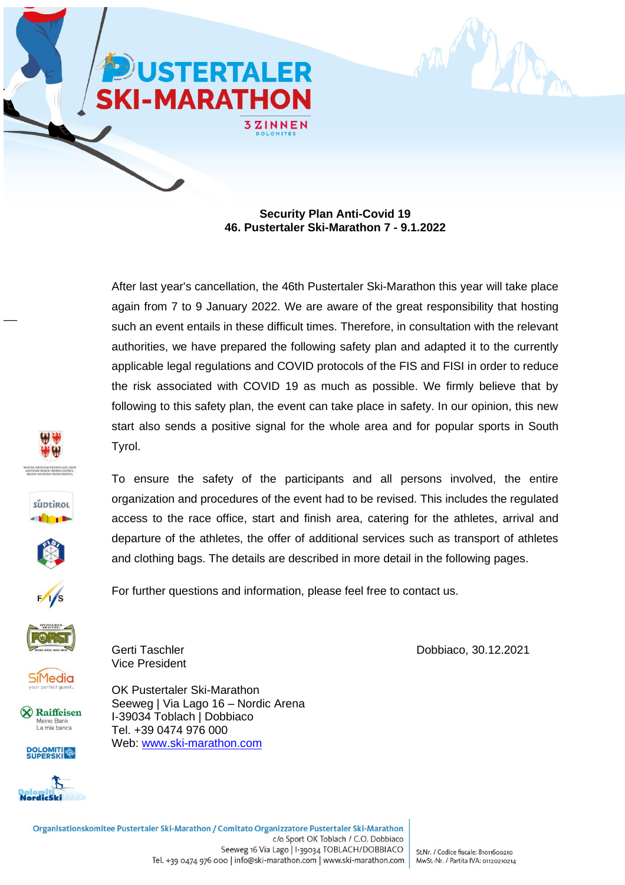



After last year's cancellation, the 46th Pustertaler Ski-Marathon this year will take place again from 7 to 9 January 2022. We are aware of the great responsibility that hosting such an event entails in these difficult times. Therefore, in consultation with the relevant authorities, we have prepared the following safety plan and adapted it to the currently applicable legal regulations and COVID protocols of the FIS and FISI in order to reduce the risk associated with COVID 19 as much as possible. We firmly believe that by following to this safety plan, the event can take place in safety. In our opinion, this new start also sends a positive signal for the whole area and for popular sports in South Tyrol.







To ensure the safety of the participants and all persons involved, the entire organization and procedures of the event had to be revised. This includes the regulated access to the race office, start and finish area, catering for the athletes, arrival and departure of the athletes, the offer of additional services such as transport of athletes and clothing bags. The details are described in more detail in the following pages.

For further questions and information, please feel free to contact us.



**SiMedia** 

X Raiffeisen Meine Bank La mia banca





Vice President

OK Pustertaler Ski-Marathon Seeweg | Via Lago 16 – Nordic Arena I-39034 Toblach | Dobbiaco Tel. +39 0474 976 000 Web: [www.ski-marathon.com](http://www.ski-marathon.com/)

Gerti Taschler **Dobbiaco**, 30.12.2021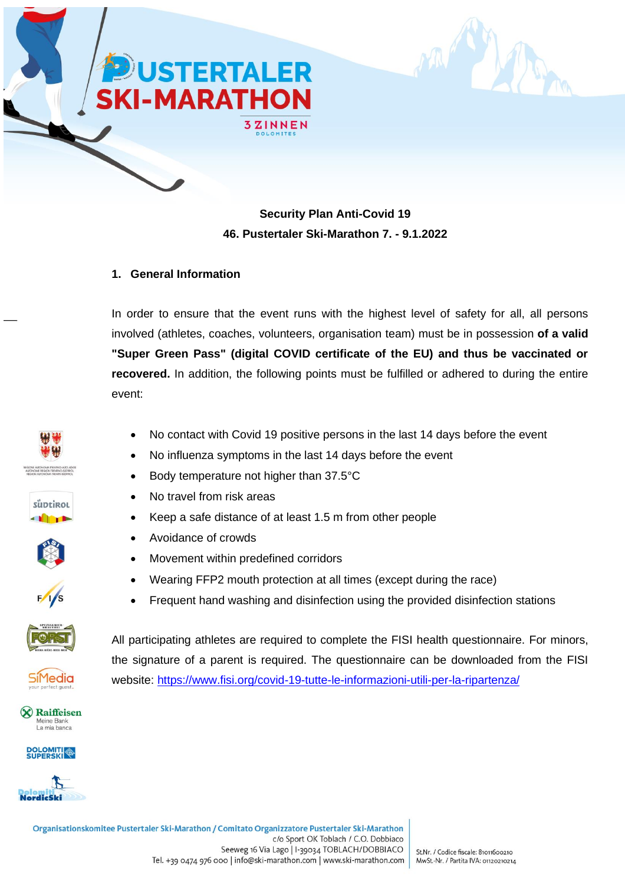



#### **1. General Information**

In order to ensure that the event runs with the highest level of safety for all, all persons involved (athletes, coaches, volunteers, organisation team) must be in possession **of a valid "Super Green Pass" (digital COVID certificate of the EU) and thus be vaccinated or recovered.** In addition, the following points must be fulfilled or adhered to during the entire event:

• No contact with Covid 19 positive persons in the last 14 days before the event

• No influenza symptoms in the last 14 days before the event

• Keep a safe distance of at least 1.5 m from other people

• Body temperature not higher than 37.5°C

• Movement within predefined corridors

• No travel from risk areas

• Avoidance of crowds















X Raiffeisen Meine Bank La mia banca





All participating athletes are required to complete the FISI health questionnaire. For minors, the signature of a parent is required. The questionnaire can be downloaded from the FISI website:<https://www.fisi.org/covid-19-tutte-le-informazioni-utili-per-la-ripartenza/>

• Frequent hand washing and disinfection using the provided disinfection stations

• Wearing FFP2 mouth protection at all times (except during the race)

Organisationskomitee Pustertaler Ski-Marathon / Comitato Organizzatore Pustertaler Ski-Marathon c/o Sport OK Toblach / C.O. Dobbiaco Seeweg 16 Via Lago | I-39034 TOBLACH/DOBBIACO Tel. +39 0474 976 000 | info@ski-marathon.com | www.ski-marathon.com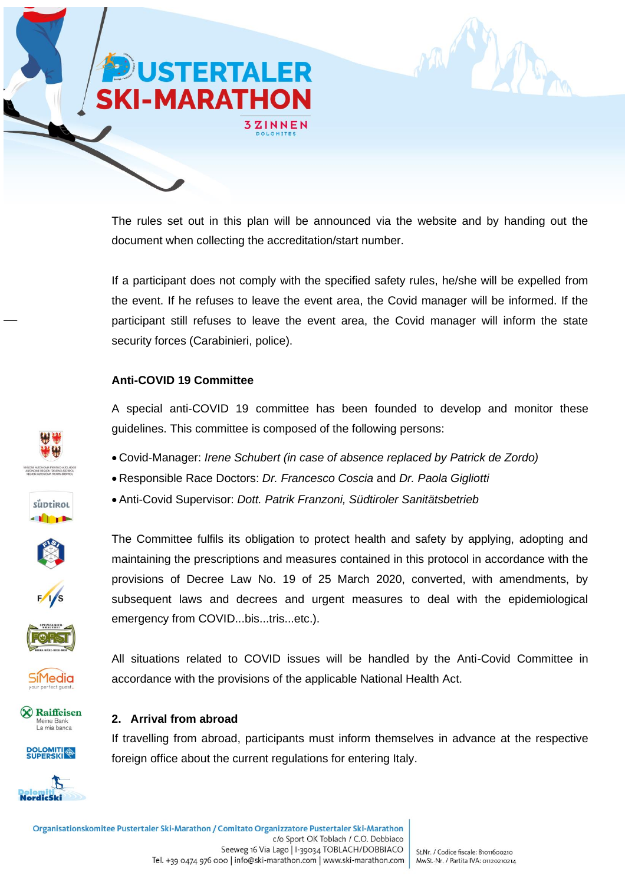

The rules set out in this plan will be announced via the website and by handing out the document when collecting the accreditation/start number.

If a participant does not comply with the specified safety rules, he/she will be expelled from the event. If he refuses to leave the event area, the Covid manager will be informed. If the participant still refuses to leave the event area, the Covid manager will inform the state security forces (Carabinieri, police).

#### **Anti-COVID 19 Committee**

A special anti-COVID 19 committee has been founded to develop and monitor these guidelines. This committee is composed of the following persons:

The Committee fulfils its obligation to protect health and safety by applying, adopting and maintaining the prescriptions and measures contained in this protocol in accordance with the provisions of Decree Law No. 19 of 25 March 2020, converted, with amendments, by subsequent laws and decrees and urgent measures to deal with the epidemiological

- Covid-Manager: *Irene Schubert (in case of absence replaced by Patrick de Zordo)*
- Responsible Race Doctors: *Dr. Francesco Coscia* and *Dr. Paola Gigliotti*
- Anti-Covid Supervisor: *Dott. Patrik Franzoni, Südtiroler Sanitätsbetrieb*



süptirol







All situations related to COVID issues will be handled by the Anti-Covid Committee in accordance with the provisions of the applicable National Health Act.

#### X Raiffeisen Meine Bank La mia banca





### **2. Arrival from abroad**

If travelling from abroad, participants must inform themselves in advance at the respective foreign office about the current regulations for entering Italy.

emergency from COVID...bis...tris...etc.).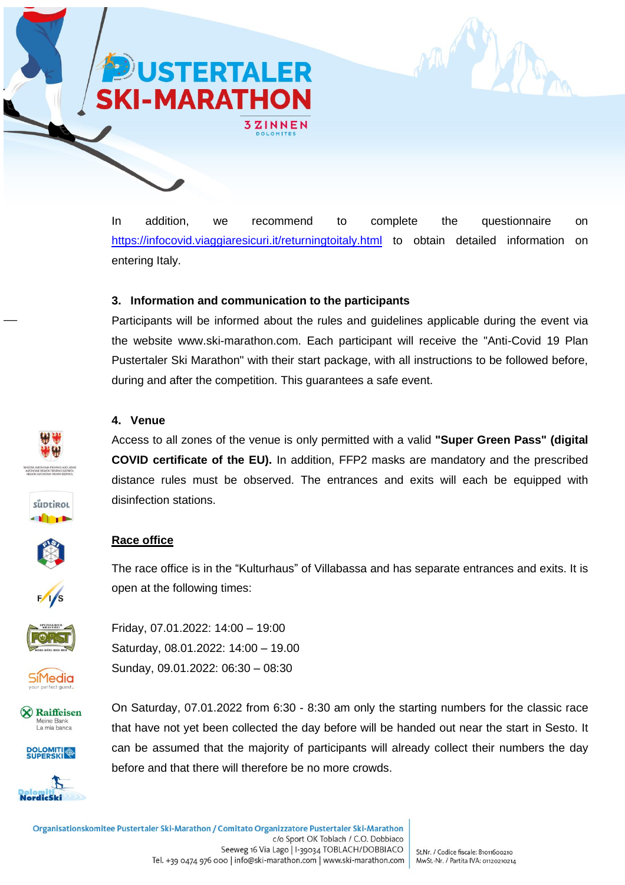In addition, we recommend to complete the questionnaire on <https://infocovid.viaggiaresicuri.it/returningtoitaly.html> to obtain detailed information on entering Italy.

#### **3. Information and communication to the participants**

**3ZINNEN** 

**USTERTALER** 

**KI-MARATHON** 

Participants will be informed about the rules and guidelines applicable during the event via the website www.ski-marathon.com. Each participant will receive the "Anti-Covid 19 Plan Pustertaler Ski Marathon" with their start package, with all instructions to be followed before, during and after the competition. This guarantees a safe event.

#### **4. Venue**

Access to all zones of the venue is only permitted with a valid **"Super Green Pass" (digital COVID certificate of the EU).** In addition, FFP2 masks are mandatory and the prescribed distance rules must be observed. The entrances and exits will each be equipped with disinfection stations.

#### **Race office**

The race office is in the "Kulturhaus" of Villabassa and has separate entrances and exits. It is open at the following times:



Friday, 07.01.2022: 14:00 – 19:00 Saturday, 08.01.2022: 14:00 – 19.00 Sunday, 09.01.2022: 06:30 – 08:30



iiMedia





On Saturday, 07.01.2022 from 6:30 - 8:30 am only the starting numbers for the classic race that have not yet been collected the day before will be handed out near the start in Sesto. It can be assumed that the majority of participants will already collect their numbers the day before and that there will therefore be no more crowds.





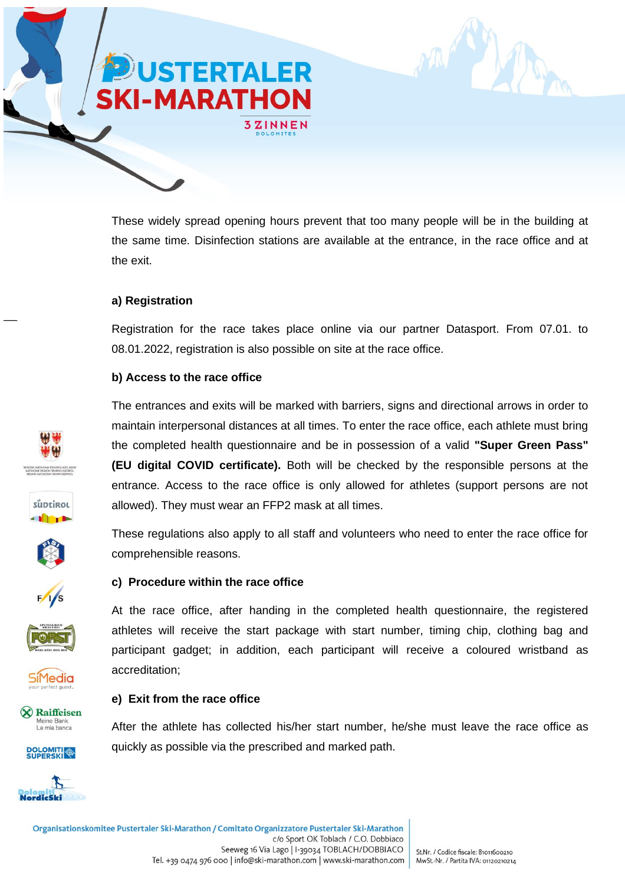

These widely spread opening hours prevent that too many people will be in the building at the same time. Disinfection stations are available at the entrance, in the race office and at the exit.

#### **a) Registration**

Registration for the race takes place online via our partner Datasport. From 07.01. to 08.01.2022, registration is also possible on site at the race office.

#### **b) Access to the race office**













X Raiffeisen Meine Bank La mia banca





The entrances and exits will be marked with barriers, signs and directional arrows in order to maintain interpersonal distances at all times. To enter the race office, each athlete must bring the completed health questionnaire and be in possession of a valid **"Super Green Pass" (EU digital COVID certificate).** Both will be checked by the responsible persons at the entrance. Access to the race office is only allowed for athletes (support persons are not allowed). They must wear an FFP2 mask at all times.

These regulations also apply to all staff and volunteers who need to enter the race office for comprehensible reasons.

### **c) Procedure within the race office**

At the race office, after handing in the completed health questionnaire, the registered athletes will receive the start package with start number, timing chip, clothing bag and participant gadget; in addition, each participant will receive a coloured wristband as accreditation;

#### **e) Exit from the race office**

After the athlete has collected his/her start number, he/she must leave the race office as quickly as possible via the prescribed and marked path.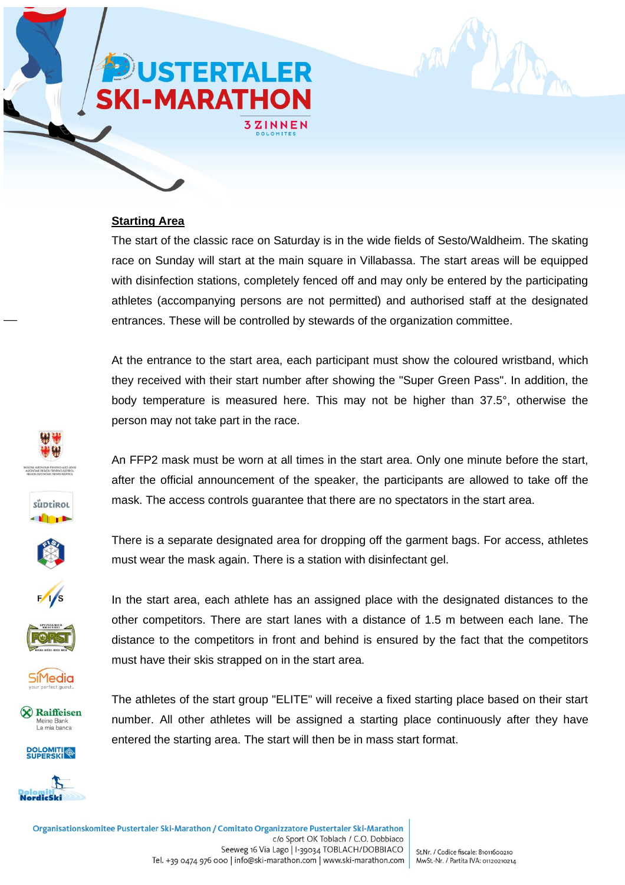## **USTERTALER KI-MARATHON**

3ZINNEN

#### **Starting Area**

The start of the classic race on Saturday is in the wide fields of Sesto/Waldheim. The skating race on Sunday will start at the main square in Villabassa. The start areas will be equipped with disinfection stations, completely fenced off and may only be entered by the participating athletes (accompanying persons are not permitted) and authorised staff at the designated entrances. These will be controlled by stewards of the organization committee.

At the entrance to the start area, each participant must show the coloured wristband, which they received with their start number after showing the "Super Green Pass". In addition, the body temperature is measured here. This may not be higher than 37.5°, otherwise the person may not take part in the race.

An FFP2 mask must be worn at all times in the start area. Only one minute before the start, after the official announcement of the speaker, the participants are allowed to take off the mask. The access controls guarantee that there are no spectators in the start area.

süptirol













In the start area, each athlete has an assigned place with the designated distances to the other competitors. There are start lanes with a distance of 1.5 m between each lane. The distance to the competitors in front and behind is ensured by the fact that the competitors must have their skis strapped on in the start area.

There is a separate designated area for dropping off the garment bags. For access, athletes

must wear the mask again. There is a station with disinfectant gel.

The athletes of the start group "ELITE" will receive a fixed starting place based on their start number. All other athletes will be assigned a starting place continuously after they have entered the starting area. The start will then be in mass start format.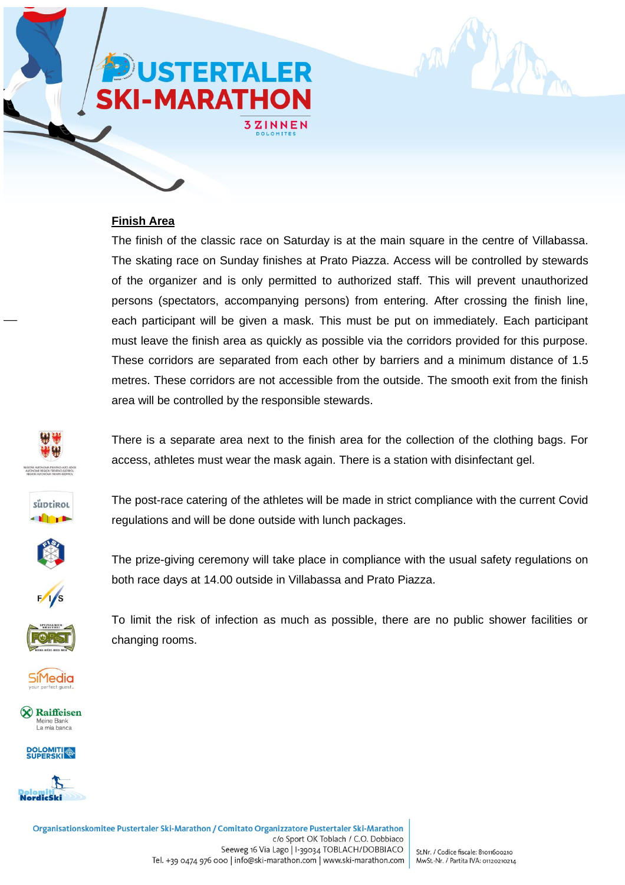# **ISTERTALER I-MARATHON**

3ZINNEN

#### **Finish Area**

The finish of the classic race on Saturday is at the main square in the centre of Villabassa. The skating race on Sunday finishes at Prato Piazza. Access will be controlled by stewards of the organizer and is only permitted to authorized staff. This will prevent unauthorized persons (spectators, accompanying persons) from entering. After crossing the finish line, each participant will be given a mask. This must be put on immediately. Each participant must leave the finish area as quickly as possible via the corridors provided for this purpose. These corridors are separated from each other by barriers and a minimum distance of 1.5 metres. These corridors are not accessible from the outside. The smooth exit from the finish area will be controlled by the responsible stewards.



There is a separate area next to the finish area for the collection of the clothing bags. For access, athletes must wear the mask again. There is a station with disinfectant gel.



The post-race catering of the athletes will be made in strict compliance with the current Covid regulations and will be done outside with lunch packages.



The prize-giving ceremony will take place in compliance with the usual safety regulations on both race days at 14.00 outside in Villabassa and Prato Piazza.



To limit the risk of infection as much as possible, there are no public shower facilities or changing rooms.



X Raiffeisen Meine Bank La mia banca





Organisationskomitee Pustertaler Ski-Marathon / Comitato Organizzatore Pustertaler Ski-Marathon c/o Sport OK Toblach / C.O. Dobbiaco Seeweg 16 Via Lago | I-39034 TOBLACH/DOBBIACO Tel. +39 0474 976 000 | info@ski-marathon.com | www.ski-marathon.com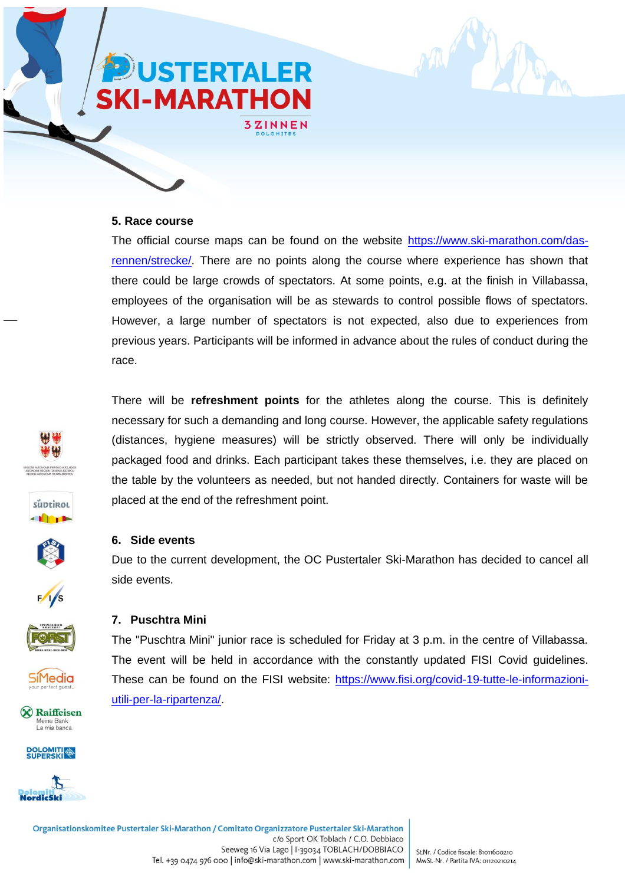### **5. Race course**

The official course maps can be found on the website [https://www.ski-marathon.com/das](https://www.ski-marathon.com/das-rennen/strecke/)[rennen/strecke/.](https://www.ski-marathon.com/das-rennen/strecke/) There are no points along the course where experience has shown that there could be large crowds of spectators. At some points, e.g. at the finish in Villabassa, employees of the organisation will be as stewards to control possible flows of spectators. However, a large number of spectators is not expected, also due to experiences from previous years. Participants will be informed in advance about the rules of conduct during the race.

There will be **refreshment points** for the athletes along the course. This is definitely necessary for such a demanding and long course. However, the applicable safety regulations (distances, hygiene measures) will be strictly observed. There will only be individually packaged food and drinks. Each participant takes these themselves, i.e. they are placed on the table by the volunteers as needed, but not handed directly. Containers for waste will be





#### **7. Puschtra Mini**

**6. Side events**

side events.

The "Puschtra Mini" junior race is scheduled for Friday at 3 p.m. in the centre of Villabassa. The event will be held in accordance with the constantly updated FISI Covid guidelines. These can be found on the FISI website: [https://www.fisi.org/covid-19-tutte-le-informazioni](https://www.fisi.org/covid-19-tutte-le-informazioni-utili-per-la-ripartenza/)[utili-per-la-ripartenza/.](https://www.fisi.org/covid-19-tutte-le-informazioni-utili-per-la-ripartenza/)

Due to the current development, the OC Pustertaler Ski-Marathon has decided to cancel all



iMedia





placed at the end of the refreshment point.

**USTERTALER** 

**3ZINNEN** 

**KI-MARATHON**